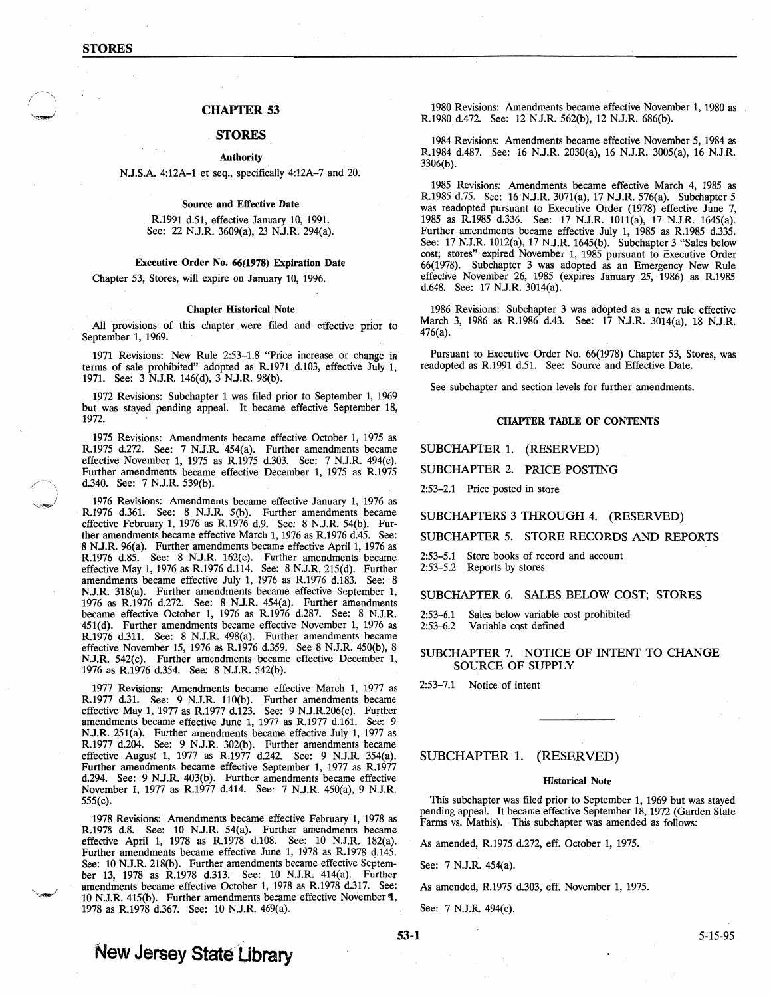# CHAPTER 53

# **STORES**

#### Authority

### N.J.S.A. 4:12A-1 et seq., specifically 4:12A-7 and 20.

#### Source and Effective Date

R.1991 d.51, effective January 10, 1991. See: 22 N.J.R. 3609(a), 23 N.J.R. 294(a).

### Executive Order No. 66(1978) Expiration Date

Chapter 53, Stores, will expire on January 10, 1996.

#### Chapter Historical Note

All provisions of this chapter were filed and effective prior to September 1, 1969.

1971 Revisions: New Rule 2:53-1.8 "Price increase or change in terms of sale prohibited" adopted as R.1971 d.103, effective July 1, 1971. See: 3 N.J.R. 146(d), 3 N.J.R. 98(b).

1972 Revisions: Subchapter 1 was filed prior to September 1, 1969 but was stayed pending appeal. It became effective September 18, 1972. .

1975 Revisions: Amendments became effective October 1, 1975 as R.1975 d.272. See: 7 N.J.R. 454(a). Further amendments became effective November 1, 1975 as R.1975 d.303. See: 7 N.J.R. 494(c). Further amendments became effective December 1, 1975 as R.1975 d.340. See: 7 N.J.R. 539(b).

1976 Revisions: Amendments became effective January 1, 1976 as R.1976 d.361. See: 8 N.J.R. 5(b). Further amendments became effective February 1, 1976 as R.1976 d.9. See: 8 N.J.R. 54(b). Further amendments became effective March 1, 1976 as R:I976 d.45. See: 8 N.J.R. 96(a). Further amendments became effective April 1, 1976 as R.1976 d.85. See: 8 N.J.R. 162(c). Further amendments became effective May 1, 1976 as R.1976 d.114. See: 8.N.J.R. 215(d). Further amendments became effective July 1, 1976 as R.1976 d.183. See: 8 N.J.R. 318(a). Further amendments became effective September 1, 1976 as R.1976 d.272. See: 8 N.J.R. 454(a). Further amendments became effective October 1, 1976 as R.1976 d.287. See: 8 N.J.R. 451(d). Further amendments became effective November 1, 1976 as R.1976 d.311. See: 8 N.J.R. 498(a). Further amendments became effective November 15, 1976 as R.1976 d.359. See 8 N.J.R. 450(b), 8 N.J.R. 542(c). Further amendments became effective December 1, 1976 as R.1976 d.354. See: 8 N.J.R. 542(b).

1977 Revisions: Amendments became effective March 1, 1977 as R.1977 d.31. See: 9 N.J.R. 110(b). Further amendments became effective May 1, 1977 as R.1977 d.123. See: 9 N.J.R.206(c). Further amendments became effective June 1, 1977 as R.1977 d.161. See: 9 N.J.R. 251(a). Further amendments became effective July 1, 1977 as R.1977 d.204. See: 9 N.J.R. 302(b). Further amendments became effective August 1, 1977 as R.1977 d.242. See: 9 N.J.R. 354(a). Further amendments became effective September 1, 1977 as R.1977 d.294. See: 9 N.J.R. 403(b). Further amendments became effective November 1, 1977 as R.1977 d.414. See: 7 N.J.R. 450(a), 9 N.J.R. 555(c).

1978 Revisions: Amendments became effective February 1, 1978 as R.1978 d.8. See: 10 N.J.R. 54(a). Further amendments became effective April 1, 1978 as R.1978 d.108. See: 10 N.J.R. 182(a). Further amendments became effective June 1, 1978 as R.1978 d.145. See: 10 N.J.R. 218(b). Further amendments became effective September 13, 1978 as R.1978 d.313. See: 10 N.J.R. 414(a). Further amendments became effective October 1, 1978 as R.1978 d.317. See: 10 N.J.R. 415(b). Further amendments became effective November'\, 1978 as R.1978 d.367. See: 10 N.J.R. 469(a).

1980 Revisions: Amendments became effective November 1, 1980 as R.1980 d.472. See: 12 N.J.R. 562(b), 12 N.J.R. 686(b).

1984 Revisions: Amendments became effective November 5, 1984 as R.1984 d.487. See: 16 N.J.R. 2030(a), 16 N.J.R. 3005(a), 16 N.J.R. 3306(b).

1985 Revisions: Amendments became effective March 4, 1985 as R.1985 d.75. See: 16 N.J.R. 3071(a), 17 N.J.R. 576(a). Subchapter 5 was readopted pursuant to Executive Order (1978) effective June 7, 1985 as R.1985 d.336. See: 17 N.J.R. 1011(a), 17 N.J.R. 1645(a). Further amendments became effective July 1, 1985 as R.1985 d.335. See: 17 N.J.R. 1012(a), 17 N.J.R. 1645(b). Subchapter 3 "Sales below cost; stores" expired November 1, 1985 pursuant to Executive Order 66(1978). Subchapter 3 was adopted as an Emergency New Rule effective November 26, 1985 (expires January 25, 1986) as R.1985 d.648. See: 17 N.J.R. 3014(a).

1986 Revisions: Subchapter 3 was adopted as a new rule effective March 3, 1986 as R.1986 d.43. See: 17 N.J.R. 3014(a), 18 N.J.R. 476(a).  $476(a)$ .

Pursuant to Executive Order No. 66(1978) Chapter 53, Stores, was readopted as R.1991 d.Sl. See: Source and Effective Date.

See subchapter and section levels for further amendments.

### CHAPTER TABLE OF CONTENTS

### SUBCHAPTER 1. (RESERVED)

SUBCHAPTER 2. PRICE POSTING

2:53-2.1 Price posted in store

#### SUBCHAPTERS 3 THROUGH 4. (RESERVED)

SUBCHAPTER 5. STORE RECORDS AND REPORTS

2:53-5.1 Store books of record and account 2:53-5.2 Reports by stores

### SUBCHAPTER 6. SALES BELOW COST; STORES

2:53-6.1 Sales below variable cost prohibited Variable cost defined

# SUBCHAPTER 7. NOTICE OF INTENT TO CHANGE SOURCE OF SUPPLY

2:53-7.1 Notice of intent

# SUBCHAPTER 1. (RESERVED)

#### Historical Note

This subchapter was filed prior to September 1, 1969 but was stayed pending appeal. It became effective September 18, 1972 (Garden State Farms vs. Mathis). This subchapter was amended as follows:

As amended, R.1975 d.272, eff. October 1, 1975.

See: 7 N.J.R. 454(a).

As amended, R.1975 d.303, eff. November 1, 1975.

See: 7 N.J.R. 494(c).

# **New Jersey State Library**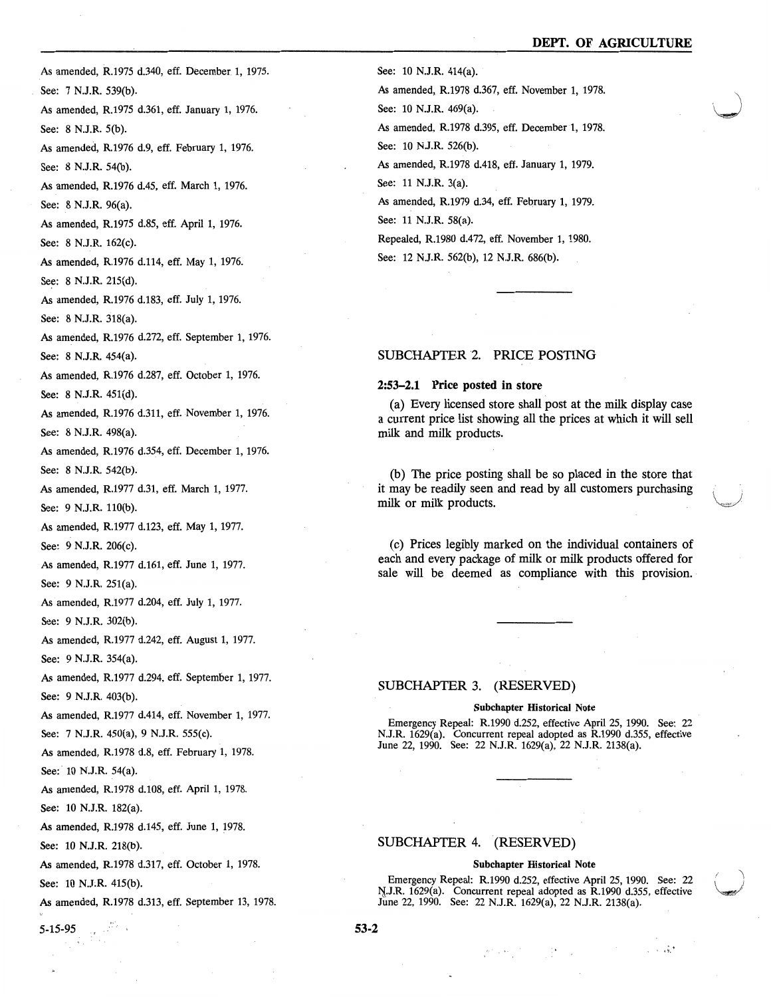As amended, R.1975 d.340, eff. December. 1, 1975. See: 7 N.J.R. 539(b). As amended, R.1975 d.361, eff. January 1, 1976. See: 8 N.J.R. 5(b). As amended, R.1976 d.9, eff. February 1, 1976. See: 8 N.J.R. 54(b). As amended, R.1976 d.45, eff. March 1, 1976. See: 8 N.J.R. 96(a). As amended, R.1975 d.85, eff. April 1, 1976. See: 8 N.J.R. 162(c). As amended, R.1976 d.114, eff. May 1, 1976. See: 8 N.J.R. 215(d). As amended, R.1976 d.183, eff. July 1, 1976. See: 8 N.J.R. 318(a). As amended, R.1976 d.272, eff. September 1, 1976. See: 8 N.J.R. 454(a). As amended, R.1976 d.287, eff. October 1, 1976. See: 8 N.J.R. 451(d). As amended, R.1976 d.311, eff. November 1, 1976. See: 8 N.J.R. 498(a). As amended, R.1976 d.354, eff. December 1, 1976. See: 8 N.J.R. 542(b). As amended, R.1977 d.31, eff. March 1, 1977. See: 9 N.J.R. 110(b). As amended, R.1977 d.123, eff. May 1, 1977. See: 9 N.J.R. 206(c). As amended, R.1977 d.161, eff. June 1, 1977. See: 9 N.J.R. 251(a). As amended, R.1977 d.204, eff. July 1, 1977. See: 9 N.J.R. 302(b). As amended, R.1977 d.242, eff. August 1, 1977. See: 9 N.J.R. 354(a). As amended, R.1977 d.294, eff. September 1, 1977. See: 9 N.J.R. 403(b). As amended, R.1977 d.414, eff. November 1, 1977. See: 7 N.J.R. 450(a), 9 N.J.R. 555(c). As amended, R.1978 d.8, eff. February 1, 1978. See: 10 N.J.R. 54(a). As amended, R.1978 d.108, eff. April 1, 1978. See: 10 N.J.R. 182(a). As amended, R.1978 d.145, eff. June 1, 1978. See: 10 N.J.R. 218(b). As amended, R.1978 d.317, eff. October 1, 1978. See: 10 N.J:R. 415(b).

As amended, R.1978 d.313, eff. September 13, 1978.

 $5-15-95$ 

See: 10 N.J.R. 414(a).

As amended, R.1978 d.367, eff. November 1, 1978. See: 10 N.J.R. 469(a). As amended, R.1978 d.395, eff. December 1, 1978. See: 10 N.J.R. 526(b). As amended, R.1978 d.418, eff. January 1, 1979. See: 11 N.J.R. 3(a). As amended, R.1979 d.34, eff. February 1, 1979.

See: 11 N.J.R. 58(a).

Repealed, R.1980 d.472, eff. November 1, 1980. See: 12 N.J.R. 562(b), 12 N.J.R. 686(b).

# SUBCHAPTER 2. PRICE POSTING

### 2:53-2.1 Price posted in store

(a) Every licensed store shall post at the milk display case a current price list showing all the prices at which it will sell milk and milk products.

(b) The price posting shall be so placed in the store that it may be readily seen and read by all customers purchasing milk or milk products.

(c) Prices legibly marked on the individual containers of each and every package of milk or milk products offered for sale will be deemed as compliance with this provision.

# SUBCHAPTER 3. (RESERVED)

#### Subchapter Historical Note

Emergency Repeal: R.1990 d.252, effective April 25, 1990. See: 22 N.J.R. 1629(a). Concurrent repeal adopted as R.1990 d.355, effective June 22, 1990. See: 22 N.J.R. 1629(a), 22 N.J.R. 2138(a).

# SUBCHAPTER 4. (RESERVED)

### Subchapter Historical Note

Emergency Repeal: R.1990 d.252, effective April 25, 1990. See: 22  $N_{1}$ J.R. 1629(a). Concurrent repeal adopted as R.1990 d.355, effective June 22, 1990. See: 22 N.J.R. 1629(a), 22 N.J.R. 2138(a).

 $1 - 1.5$ 

53-2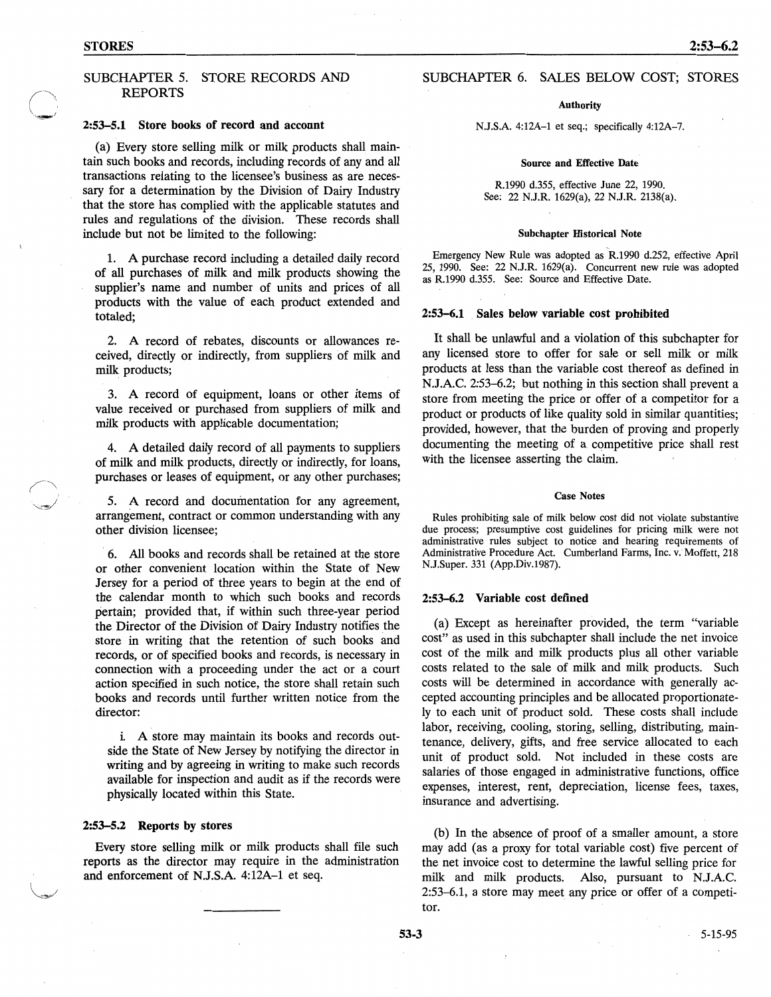*(-",,,*   $\sim$   $\sim$   $\sim$   $\sim$   $\sim$   $\sim$ 

# SUBCHAPTER 5. STORE RECORDS AND REPORTS

# 2:53-5.1 Store books of record and account

(a) Every store selling milk or milk products shall maintain such books and records, including records of any and all transactions relating to the licensee's business as are necessary for a determination by the Division of Dairy Industry that the store has complied with the applicable statutes and rules and regulations of the division. These records shall include but not be limited to the following:

1. A purchase record including a detailed daily record of all purchases of milk and milk products showing the supplier's name and number of units and prices of all products with the value of each product extended and totaled;

2. A record of rebates, discounts or allowances received, directly or indirectly, from suppliers of milk and milk products;

3. A record of equipment, loans or other items of value received or purchased from suppliers of milk and milk products with applicable documentation;

4. A detailed daily record of all payments to suppliers of milk and milk products, directly or indirectly, for loans, purchases or leases of equipment, or any other purchases;

5. A record and documentation for any agreement, arrangement, contract or common understanding with any other division licensee;

6. All books and records shall be retained at the store or other convenient location within the State of New Jersey for a period of three years to begin at the end of the calendar month to which such books and records pertain; provided that, if within such three-year period the Director of the Division of Dairy Industry notifies the store in writing that the retention of such books and records, or of specified books and records, is necessary in connection with a proceeding under the act or a court action specified in such notice, the store shall retain such books and records until further written notice from the director:

i. A store may maintain its books and records outside the State of New Jersey by notifying the director in writing and by agreeing in writing to make such records available for inspection and audit as if the records were physically located within this State.

# 2:53-5.2 Reports by stores

Every store selling milk or milk products shall file such reports as the director may require in the administration and enforcement of N.J.S.A. 4:12A-1 et seq.

# SUBCHAPTER 6. SALES BELOW COST; STORES

### Authority

N.J.S.A. 4:12A-1 et seq.; specifically 4:12A-7.

#### Source and Effective Date

R.1990 d.355, effective June 22, 1990. See: 22 N.J.R. 1629(a), 22 N.J.R. 2138(a).

#### Subchapter Historical Note

Emergency New Rule was adopted as R.1990 d.252, effective April 25, 1990. See: 22 N.J.R. 1629(a). Concurrent new rule was adopted as R.1990 d.355. See: Source and Effective Date.

# 2:53-6.1 Sales below variable cost prohibited

It shall be unlawful and a violation of this subchapter for any licensed store to offer for sale or sell milk or milk products at less than the variable cost thereof as defined in N.J.A.C. 2:53-6.2; but nothing in this section shall prevent a store from meeting the price or offer of a competitor for a product or products of like quality sold in similar quantities; provided, however, that the burden of proving and properly documenting the meeting of a competitive price shall rest with the licensee asserting the claim.

### Case Notes

Rules prohibiting sale of milk below cost did not violate substantive due process; presumptive cost guidelines for pricing milk were not administrative rules subject to notice and hearing requirements of Administrative Procedure Act. Cumberland Farms, Inc. v. Moffett, 218 N.J.Super. 331 (App.Div.1987).

### 2:53-6.2 Variable cost defined

(a) Except as hereinafter provided, the term "variable cost" as used in this subchapter shall include the net invoice cost of the milk and milk products plus all other variable costs related to the sale of milk and milk products. Such costs will be determined in accordance with generally accepted accounting principles and be allocated proportionately to each unit of product sold. These costs shall include labor, receiving, cooling, storing, selling, distributing, maintenance, delivery, gifts, and free service allocated to each unit of product sold. Not included in these costs are salaries of those engaged in administrative functions, office expenses, interest, rent, depreciation, license fees, taxes, insurance and advertising.

(b) In the absence of proof of a smaller amount, a store may add (as a proxy for total variable cost) five percent of the net invoice cost to determine the lawful selling price for milk and milk products. Also, pursuant to N.J.A.C. 2:53-6.1, a store may meet any price or offer of a competitor.